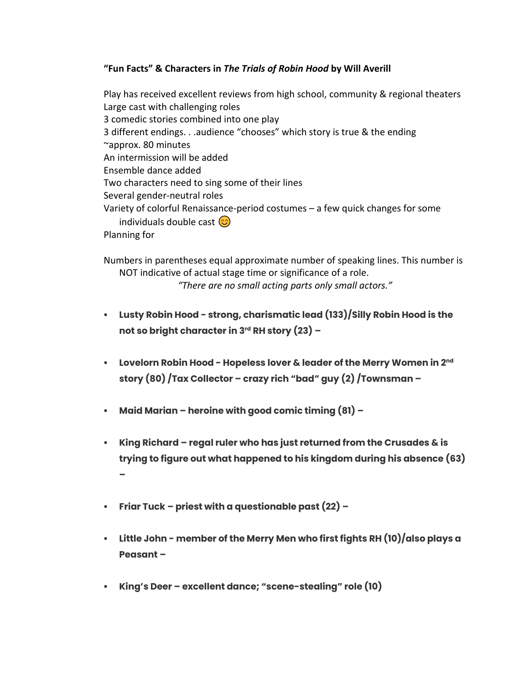## **"Fun Facts" & Characters in** *The Trials of Robin Hood* **by Will Averill**

Play has received excellent reviews from high school, community & regional theaters Large cast with challenging roles 3 comedic stories combined into one play 3 different endings. . .audience "chooses" which story is true & the ending ~approx. 80 minutes An intermission will be added Ensemble dance added Two characters need to sing some of their lines Several gender-neutral roles Variety of colorful Renaissance-period costumes – a few quick changes for some individuals double cast  $\circled{c}$ Planning for

Numbers in parentheses equal approximate number of speaking lines. This number is NOT indicative of actual stage time or significance of a role. *"There are no small acting parts only small actors."*

- **Lusty Robin Hood - strong, charismatic lead (133)/Silly Robin Hood is the not so bright character in 3rd RH story (23) –**
- **Lovelorn Robin Hood - Hopeless lover & leader of the Merry Women in 2nd story (80) /Tax Collector – crazy rich "bad" guy (2) /Townsman –**
- **Maid Marian – heroine with good comic timing (81) –**
- **King Richard – regal ruler who has just returned from the Crusades & is trying to figure out what happened to his kingdom during his absence (63) –**
- **Friar Tuck – priest with a questionable past (22) –**
- **Little John - member of the Merry Men who first fights RH (10)/also plays a Peasant –**
- **King's Deer – excellent dance; "scene-stealing" role (10)**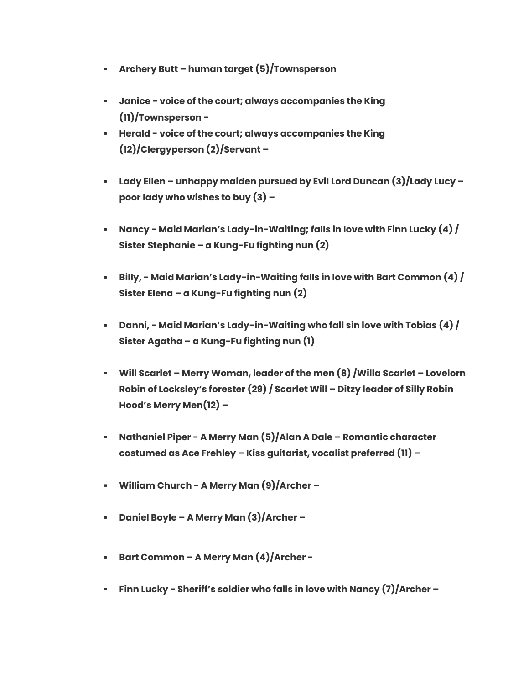- **Archery Butt – human target (5)/Townsperson**
- **Janice - voice of the court; always accompanies the King (11)/Townsperson -**
- **Herald - voice of the court; always accompanies the King (12)/Clergyperson (2)/Servant –**
- **Lady Ellen – unhappy maiden pursued by Evil Lord Duncan (3)/Lady Lucy – poor lady who wishes to buy (3) –**
- **Nancy - Maid Marian's Lady-in-Waiting; falls in love with Finn Lucky (4) / Sister Stephanie – a Kung-Fu fighting nun (2)**
- **Billy, - Maid Marian's Lady-in-Waiting falls in love with Bart Common (4) / Sister Elena – a Kung-Fu fighting nun (2)**
- **Danni, - Maid Marian's Lady-in-Waiting who fall sin love with Tobias (4) / Sister Agatha – a Kung-Fu fighting nun (1)**
- **Will Scarlet – Merry Woman, leader of the men (8) /Willa Scarlet – Lovelorn Robin of Locksley's forester (29) / Scarlet Will – Ditzy leader of Silly Robin Hood's Merry Men(12) –**
- **Nathaniel Piper - A Merry Man (5)/Alan A Dale – Romantic character costumed as Ace Frehley – Kiss guitarist, vocalist preferred (11) –**
- **William Church - A Merry Man (9)/Archer –**
- **Daniel Boyle – A Merry Man (3)/Archer –**
- **Bart Common – A Merry Man (4)/Archer -**
- **Finn Lucky - Sheriff's soldier who falls in love with Nancy (7)/Archer –**